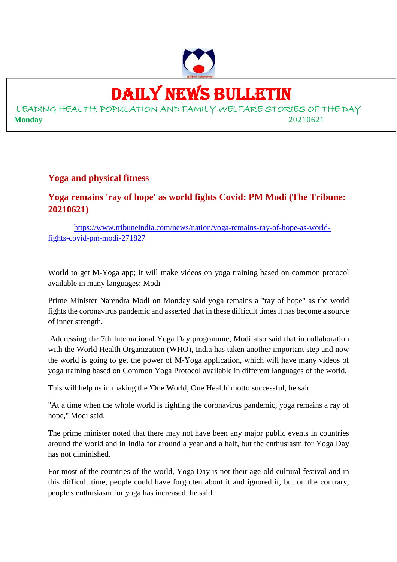

## DAILY NEWS BULLETIN

LEADING HEALTH, POPULATION AND FAMILY WELFARE STORIES OF THE DAY **Monday** 20210621

#### **Yoga and physical fitness**

#### **Yoga remains 'ray of hope' as world fights Covid: PM Modi (The Tribune: 20210621)**

https://www.tribuneindia.com/news/nation/yoga-remains-ray-of-hope-as-worldfights-covid-pm-modi-271827

World to get M-Yoga app; it will make videos on yoga training based on common protocol available in many languages: Modi

Prime Minister Narendra Modi on Monday said yoga remains a "ray of hope" as the world fights the coronavirus pandemic and asserted that in these difficult times it has become a source of inner strength.

Addressing the 7th International Yoga Day programme, Modi also said that in collaboration with the World Health Organization (WHO), India has taken another important step and now the world is going to get the power of M-Yoga application, which will have many videos of yoga training based on Common Yoga Protocol available in different languages of the world.

This will help us in making the 'One World, One Health' motto successful, he said.

"At a time when the whole world is fighting the coronavirus pandemic, yoga remains a ray of hope," Modi said.

The prime minister noted that there may not have been any major public events in countries around the world and in India for around a year and a half, but the enthusiasm for Yoga Day has not diminished.

For most of the countries of the world, Yoga Day is not their age-old cultural festival and in this difficult time, people could have forgotten about it and ignored it, but on the contrary, people's enthusiasm for yoga has increased, he said.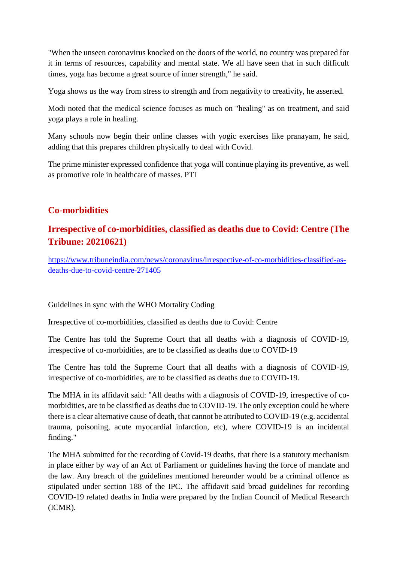"When the unseen coronavirus knocked on the doors of the world, no country was prepared for it in terms of resources, capability and mental state. We all have seen that in such difficult times, yoga has become a great source of inner strength," he said.

Yoga shows us the way from stress to strength and from negativity to creativity, he asserted.

Modi noted that the medical science focuses as much on "healing" as on treatment, and said yoga plays a role in healing.

Many schools now begin their online classes with yogic exercises like pranayam, he said, adding that this prepares children physically to deal with Covid.

The prime minister expressed confidence that yoga will continue playing its preventive, as well as promotive role in healthcare of masses. PTI

#### **Co-morbidities**

#### **Irrespective of co-morbidities, classified as deaths due to Covid: Centre (The Tribune: 20210621)**

https://www.tribuneindia.com/news/coronavirus/irrespective-of-co-morbidities-classified-asdeaths-due-to-covid-centre-271405

Guidelines in sync with the WHO Mortality Coding

Irrespective of co-morbidities, classified as deaths due to Covid: Centre

The Centre has told the Supreme Court that all deaths with a diagnosis of COVID-19, irrespective of co-morbidities, are to be classified as deaths due to COVID-19

The Centre has told the Supreme Court that all deaths with a diagnosis of COVID-19, irrespective of co-morbidities, are to be classified as deaths due to COVID-19.

The MHA in its affidavit said: "All deaths with a diagnosis of COVID-19, irrespective of comorbidities, are to be classified as deaths due to COVID-19. The only exception could be where there is a clear alternative cause of death, that cannot be attributed to COVID-19 (e.g. accidental trauma, poisoning, acute myocardial infarction, etc), where COVID-19 is an incidental finding."

The MHA submitted for the recording of Covid-19 deaths, that there is a statutory mechanism in place either by way of an Act of Parliament or guidelines having the force of mandate and the law. Any breach of the guidelines mentioned hereunder would be a criminal offence as stipulated under section 188 of the IPC. The affidavit said broad guidelines for recording COVID-19 related deaths in India were prepared by the Indian Council of Medical Research (ICMR).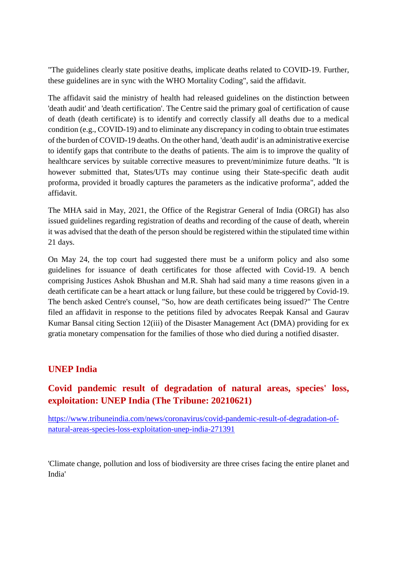"The guidelines clearly state positive deaths, implicate deaths related to COVID-19. Further, these guidelines are in sync with the WHO Mortality Coding", said the affidavit.

The affidavit said the ministry of health had released guidelines on the distinction between 'death audit' and 'death certification'. The Centre said the primary goal of certification of cause of death (death certificate) is to identify and correctly classify all deaths due to a medical condition (e.g., COVID-19) and to eliminate any discrepancy in coding to obtain true estimates of the burden of COVID-19 deaths. On the other hand, 'death audit' is an administrative exercise to identify gaps that contribute to the deaths of patients. The aim is to improve the quality of healthcare services by suitable corrective measures to prevent/minimize future deaths. "It is however submitted that, States/UTs may continue using their State-specific death audit proforma, provided it broadly captures the parameters as the indicative proforma", added the affidavit.

The MHA said in May, 2021, the Office of the Registrar General of India (ORGI) has also issued guidelines regarding registration of deaths and recording of the cause of death, wherein it was advised that the death of the person should be registered within the stipulated time within 21 days.

On May 24, the top court had suggested there must be a uniform policy and also some guidelines for issuance of death certificates for those affected with Covid-19. A bench comprising Justices Ashok Bhushan and M.R. Shah had said many a time reasons given in a death certificate can be a heart attack or lung failure, but these could be triggered by Covid-19. The bench asked Centre's counsel, "So, how are death certificates being issued?" The Centre filed an affidavit in response to the petitions filed by advocates Reepak Kansal and Gaurav Kumar Bansal citing Section 12(iii) of the Disaster Management Act (DMA) providing for ex gratia monetary compensation for the families of those who died during a notified disaster.

#### **UNEP India**

#### **Covid pandemic result of degradation of natural areas, species' loss, exploitation: UNEP India (The Tribune: 20210621)**

https://www.tribuneindia.com/news/coronavirus/covid-pandemic-result-of-degradation-ofnatural-areas-species-loss-exploitation-unep-india-271391

'Climate change, pollution and loss of biodiversity are three crises facing the entire planet and India'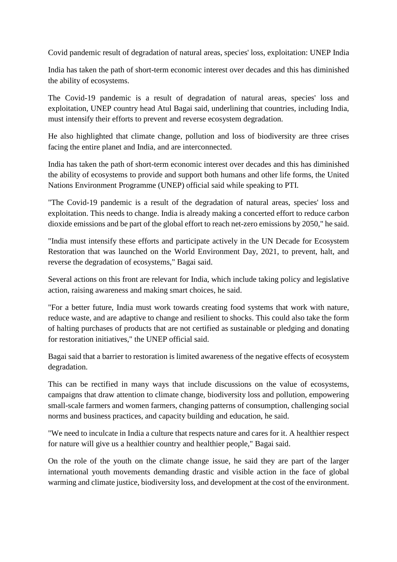Covid pandemic result of degradation of natural areas, species' loss, exploitation: UNEP India

India has taken the path of short-term economic interest over decades and this has diminished the ability of ecosystems.

The Covid-19 pandemic is a result of degradation of natural areas, species' loss and exploitation, UNEP country head Atul Bagai said, underlining that countries, including India, must intensify their efforts to prevent and reverse ecosystem degradation.

He also highlighted that climate change, pollution and loss of biodiversity are three crises facing the entire planet and India, and are interconnected.

India has taken the path of short-term economic interest over decades and this has diminished the ability of ecosystems to provide and support both humans and other life forms, the United Nations Environment Programme (UNEP) official said while speaking to PTI.

"The Covid-19 pandemic is a result of the degradation of natural areas, species' loss and exploitation. This needs to change. India is already making a concerted effort to reduce carbon dioxide emissions and be part of the global effort to reach net-zero emissions by 2050," he said.

"India must intensify these efforts and participate actively in the UN Decade for Ecosystem Restoration that was launched on the World Environment Day, 2021, to prevent, halt, and reverse the degradation of ecosystems," Bagai said.

Several actions on this front are relevant for India, which include taking policy and legislative action, raising awareness and making smart choices, he said.

"For a better future, India must work towards creating food systems that work with nature, reduce waste, and are adaptive to change and resilient to shocks. This could also take the form of halting purchases of products that are not certified as sustainable or pledging and donating for restoration initiatives," the UNEP official said.

Bagai said that a barrier to restoration is limited awareness of the negative effects of ecosystem degradation.

This can be rectified in many ways that include discussions on the value of ecosystems, campaigns that draw attention to climate change, biodiversity loss and pollution, empowering small-scale farmers and women farmers, changing patterns of consumption, challenging social norms and business practices, and capacity building and education, he said.

"We need to inculcate in India a culture that respects nature and cares for it. A healthier respect for nature will give us a healthier country and healthier people," Bagai said.

On the role of the youth on the climate change issue, he said they are part of the larger international youth movements demanding drastic and visible action in the face of global warming and climate justice, biodiversity loss, and development at the cost of the environment.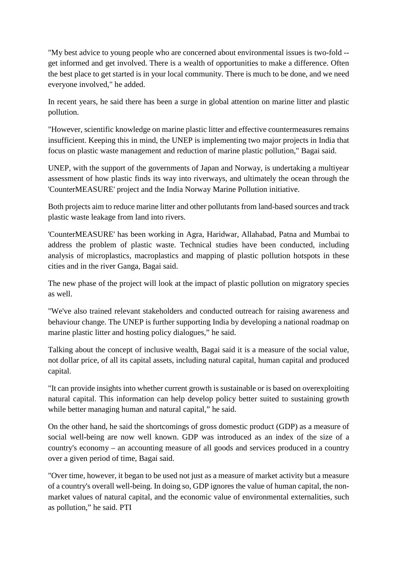"My best advice to young people who are concerned about environmental issues is two-fold - get informed and get involved. There is a wealth of opportunities to make a difference. Often the best place to get started is in your local community. There is much to be done, and we need everyone involved," he added.

In recent years, he said there has been a surge in global attention on marine litter and plastic pollution.

"However, scientific knowledge on marine plastic litter and effective countermeasures remains insufficient. Keeping this in mind, the UNEP is implementing two major projects in India that focus on plastic waste management and reduction of marine plastic pollution," Bagai said.

UNEP, with the support of the governments of Japan and Norway, is undertaking a multiyear assessment of how plastic finds its way into riverways, and ultimately the ocean through the 'CounterMEASURE' project and the India Norway Marine Pollution initiative.

Both projects aim to reduce marine litter and other pollutants from land-based sources and track plastic waste leakage from land into rivers.

'CounterMEASURE' has been working in Agra, Haridwar, Allahabad, Patna and Mumbai to address the problem of plastic waste. Technical studies have been conducted, including analysis of microplastics, macroplastics and mapping of plastic pollution hotspots in these cities and in the river Ganga, Bagai said.

The new phase of the project will look at the impact of plastic pollution on migratory species as well.

"We've also trained relevant stakeholders and conducted outreach for raising awareness and behaviour change. The UNEP is further supporting India by developing a national roadmap on marine plastic litter and hosting policy dialogues," he said.

Talking about the concept of inclusive wealth, Bagai said it is a measure of the social value, not dollar price, of all its capital assets, including natural capital, human capital and produced capital.

"It can provide insights into whether current growth is sustainable or is based on overexploiting natural capital. This information can help develop policy better suited to sustaining growth while better managing human and natural capital," he said.

On the other hand, he said the shortcomings of gross domestic product (GDP) as a measure of social well-being are now well known. GDP was introduced as an index of the size of a country's economy – an accounting measure of all goods and services produced in a country over a given period of time, Bagai said.

"Over time, however, it began to be used not just as a measure of market activity but a measure of a country's overall well-being. In doing so, GDP ignores the value of human capital, the nonmarket values of natural capital, and the economic value of environmental externalities, such as pollution," he said. PTI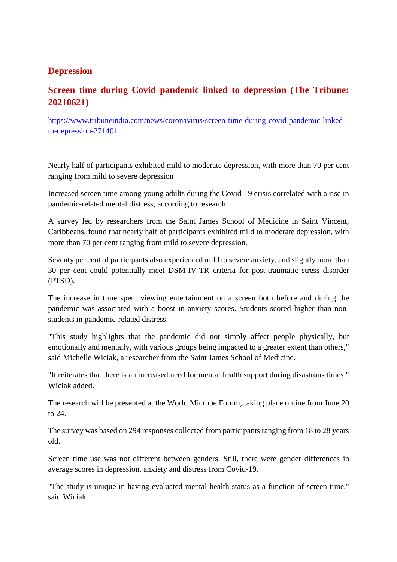#### **Depression**

#### **Screen time during Covid pandemic linked to depression (The Tribune: 20210621)**

https://www.tribuneindia.com/news/coronavirus/screen-time-during-covid-pandemic-linkedto-depression-271401

Nearly half of participants exhibited mild to moderate depression, with more than 70 per cent ranging from mild to severe depression

Increased screen time among young adults during the Covid-19 crisis correlated with a rise in pandemic-related mental distress, according to research.

A survey led by researchers from the Saint James School of Medicine in Saint Vincent, Caribbeans, found that nearly half of participants exhibited mild to moderate depression, with more than 70 per cent ranging from mild to severe depression.

Seventy per cent of participants also experienced mild to severe anxiety, and slightly more than 30 per cent could potentially meet DSM-IV-TR criteria for post-traumatic stress disorder (PTSD).

The increase in time spent viewing entertainment on a screen both before and during the pandemic was associated with a boost in anxiety scores. Students scored higher than nonstudents in pandemic-related distress.

"This study highlights that the pandemic did not simply affect people physically, but emotionally and mentally, with various groups being impacted to a greater extent than others," said Michelle Wiciak, a researcher from the Saint James School of Medicine.

"It reiterates that there is an increased need for mental health support during disastrous times," Wiciak added.

The research will be presented at the World Microbe Forum, taking place online from June 20 to 24.

The survey was based on 294 responses collected from participants ranging from 18 to 28 years old.

Screen time use was not different between genders. Still, there were gender differences in average scores in depression, anxiety and distress from Covid-19.

"The study is unique in having evaluated mental health status as a function of screen time," said Wiciak.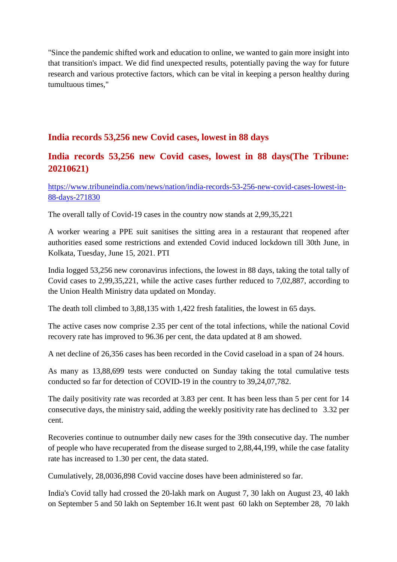"Since the pandemic shifted work and education to online, we wanted to gain more insight into that transition's impact. We did find unexpected results, potentially paving the way for future research and various protective factors, which can be vital in keeping a person healthy during tumultuous times,"

#### **India records 53,256 new Covid cases, lowest in 88 days**

#### **India records 53,256 new Covid cases, lowest in 88 days(The Tribune: 20210621)**

https://www.tribuneindia.com/news/nation/india-records-53-256-new-covid-cases-lowest-in-88-days-271830

The overall tally of Covid-19 cases in the country now stands at 2,99,35,221

A worker wearing a PPE suit sanitises the sitting area in a restaurant that reopened after authorities eased some restrictions and extended Covid induced lockdown till 30th June, in Kolkata, Tuesday, June 15, 2021. PTI

India logged 53,256 new coronavirus infections, the lowest in 88 days, taking the total tally of Covid cases to 2,99,35,221, while the active cases further reduced to 7,02,887, according to the Union Health Ministry data updated on Monday.

The death toll climbed to 3,88,135 with 1,422 fresh fatalities, the lowest in 65 days.

The active cases now comprise 2.35 per cent of the total infections, while the national Covid recovery rate has improved to 96.36 per cent, the data updated at 8 am showed.

A net decline of 26,356 cases has been recorded in the Covid caseload in a span of 24 hours.

As many as 13,88,699 tests were conducted on Sunday taking the total cumulative tests conducted so far for detection of COVID-19 in the country to 39,24,07,782.

The daily positivity rate was recorded at 3.83 per cent. It has been less than 5 per cent for 14 consecutive days, the ministry said, adding the weekly positivity rate has declined to 3.32 per cent.

Recoveries continue to outnumber daily new cases for the 39th consecutive day. The number of people who have recuperated from the disease surged to 2,88,44,199, while the case fatality rate has increased to 1.30 per cent, the data stated.

Cumulatively, 28,0036,898 Covid vaccine doses have been administered so far.

India's Covid tally had crossed the 20-lakh mark on August 7, 30 lakh on August 23, 40 lakh on September 5 and 50 lakh on September 16.It went past 60 lakh on September 28, 70 lakh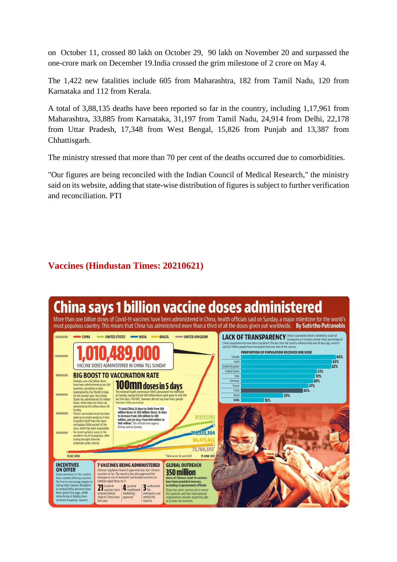on October 11, crossed 80 lakh on October 29, 90 lakh on November 20 and surpassed the one-crore mark on December 19.India crossed the grim milestone of 2 crore on May 4.

The 1,422 new fatalities include 605 from Maharashtra, 182 from Tamil Nadu, 120 from Karnataka and 112 from Kerala.

A total of 3,88,135 deaths have been reported so far in the country, including 1,17,961 from Maharashtra, 33,885 from Karnataka, 31,197 from Tamil Nadu, 24,914 from Delhi, 22,178 from Uttar Pradesh, 17,348 from West Bengal, 15,826 from Punjab and 13,387 from Chhattisgarh.

The ministry stressed that more than 70 per cent of the deaths occurred due to comorbidities.

"Our figures are being reconciled with the Indian Council of Medical Research," the ministry said on its website, adding that state-wise distribution of figures is subject to further verification and reconciliation. PTI

#### **Vaccines (Hindustan Times: 20210621)**

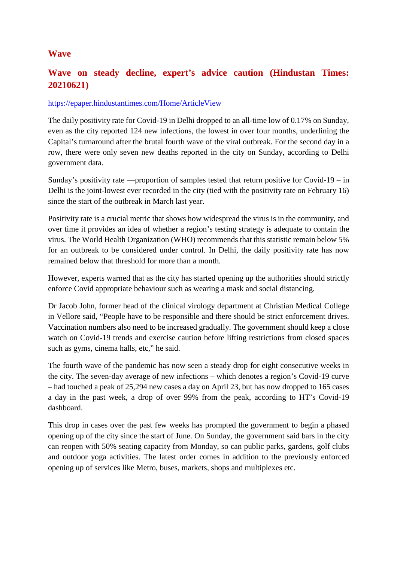#### **Wave**

#### **Wave on steady decline, expert's advice caution (Hindustan Times: 20210621)**

#### https://epaper.hindustantimes.com/Home/ArticleView

The daily positivity rate for Covid-19 in Delhi dropped to an all-time low of 0.17% on Sunday, even as the city reported 124 new infections, the lowest in over four months, underlining the Capital's turnaround after the brutal fourth wave of the viral outbreak. For the second day in a row, there were only seven new deaths reported in the city on Sunday, according to Delhi government data.

Sunday's positivity rate —proportion of samples tested that return positive for Covid-19 – in Delhi is the joint-lowest ever recorded in the city (tied with the positivity rate on February 16) since the start of the outbreak in March last year.

Positivity rate is a crucial metric that shows how widespread the virus is in the community, and over time it provides an idea of whether a region's testing strategy is adequate to contain the virus. The World Health Organization (WHO) recommends that this statistic remain below 5% for an outbreak to be considered under control. In Delhi, the daily positivity rate has now remained below that threshold for more than a month.

However, experts warned that as the city has started opening up the authorities should strictly enforce Covid appropriate behaviour such as wearing a mask and social distancing.

Dr Jacob John, former head of the clinical virology department at Christian Medical College in Vellore said, "People have to be responsible and there should be strict enforcement drives. Vaccination numbers also need to be increased gradually. The government should keep a close watch on Covid-19 trends and exercise caution before lifting restrictions from closed spaces such as gyms, cinema halls, etc," he said.

The fourth wave of the pandemic has now seen a steady drop for eight consecutive weeks in the city. The seven-day average of new infections – which denotes a region's Covid-19 curve – had touched a peak of 25,294 new cases a day on April 23, but has now dropped to 165 cases a day in the past week, a drop of over 99% from the peak, according to HT's Covid-19 dashboard.

This drop in cases over the past few weeks has prompted the government to begin a phased opening up of the city since the start of June. On Sunday, the government said bars in the city can reopen with 50% seating capacity from Monday, so can public parks, gardens, golf clubs and outdoor yoga activities. The latest order comes in addition to the previously enforced opening up of services like Metro, buses, markets, shops and multiplexes etc.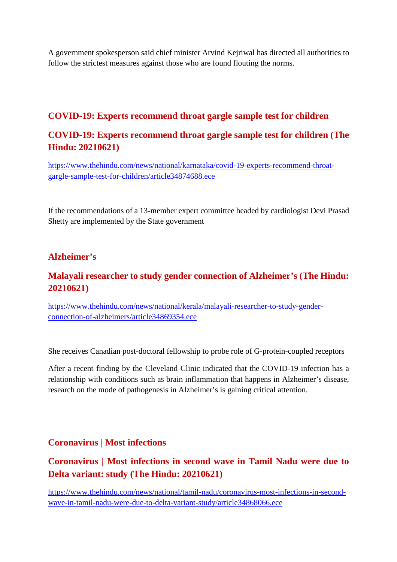A government spokesperson said chief minister Arvind Kejriwal has directed all authorities to follow the strictest measures against those who are found flouting the norms.

#### **COVID-19: Experts recommend throat gargle sample test for children**

#### **COVID-19: Experts recommend throat gargle sample test for children (The Hindu: 20210621)**

https://www.thehindu.com/news/national/karnataka/covid-19-experts-recommend-throatgargle-sample-test-for-children/article34874688.ece

If the recommendations of a 13-member expert committee headed by cardiologist Devi Prasad Shetty are implemented by the State government

#### **Alzheimer's**

#### **Malayali researcher to study gender connection of Alzheimer's (The Hindu: 20210621)**

https://www.thehindu.com/news/national/kerala/malayali-researcher-to-study-genderconnection-of-alzheimers/article34869354.ece

She receives Canadian post-doctoral fellowship to probe role of G-protein-coupled receptors

After a recent finding by the Cleveland Clinic indicated that the COVID-19 infection has a relationship with conditions such as brain inflammation that happens in Alzheimer's disease, research on the mode of pathogenesis in Alzheimer's is gaining critical attention.

#### **Coronavirus | Most infections**

#### **Coronavirus | Most infections in second wave in Tamil Nadu were due to Delta variant: study (The Hindu: 20210621)**

https://www.thehindu.com/news/national/tamil-nadu/coronavirus-most-infections-in-secondwave-in-tamil-nadu-were-due-to-delta-variant-study/article34868066.ece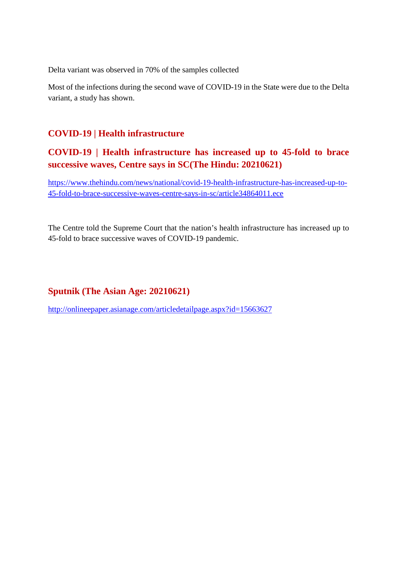Delta variant was observed in 70% of the samples collected

Most of the infections during the second wave of COVID-19 in the State were due to the Delta variant, a study has shown.

#### **COVID-19 | Health infrastructure**

**COVID-19 | Health infrastructure has increased up to 45-fold to brace successive waves, Centre says in SC(The Hindu: 20210621)**

https://www.thehindu.com/news/national/covid-19-health-infrastructure-has-increased-up-to-45-fold-to-brace-successive-waves-centre-says-in-sc/article34864011.ece

The Centre told the Supreme Court that the nation's health infrastructure has increased up to 45-fold to brace successive waves of COVID-19 pandemic.

#### **Sputnik (The Asian Age: 20210621)**

http://onlineepaper.asianage.com/articledetailpage.aspx?id=15663627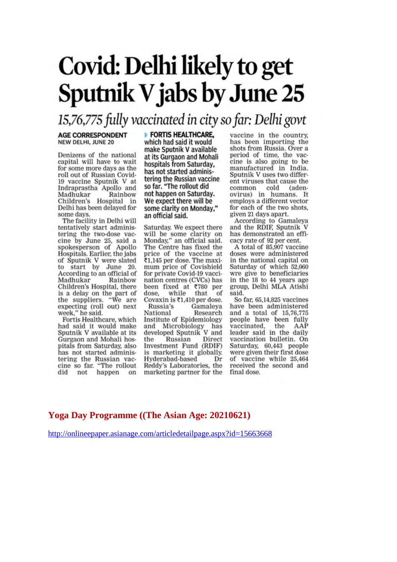# Covid: Delhi likely to get **Sputnik V jabs by June 25**

### 15,76,775 fully vaccinated in city so far: Delhi govt

#### **AGE CORRESPONDENT** NEW DELHI, JUNE 20

Denizens of the national capital will have to wait for some more days as the roll out of Russian Covid-19 vaccine Sputnik V at Indraprastha Apollo and Madhukar Rainbow Children's Hospital in Delhi has been delayed for some days.

The facility in Delhi will tentatively start administering the two-dose vacering the two-dose vac-<br>cine by June 25, said a<br>spokesperson of Apollo<br>Hospitals. Earlier, the jabs of Sputnik V were slated<br>to start by June 20. According to an official of Madhukar Rainbow Children's Hospital, there is a delay on the part of the suppliers. "We are<br>expecting (roll out) next week." he said.

Fortis Healthcare, which had said it would make<br>Sputnik V available at its Gurgaon and Mohali hospitals from Saturday, also has not started administering the Russian vaccine so far. "The rollout did not happen on **FORTIS HEALTHCARE,** which had said it would make Sputnik V available at its Gurgaon and Mohali hospitals from Saturday, has not started administering the Russian vaccine so far. "The rollout did not happen on Saturday. We expect there will be some clarity on Monday." an official said.

Saturday. We expect there will be some clarity on Monday," an official said. The Centre has fixed the price of the vaccine at ₹1.145 per dose. The maximum price of Covishield for private Covid-19 vaccination centres (CVCs) has been fixed at ₹780 per dose. while that - of Covaxin is ₹1,410 per dose. Gamaleya Russia's National Research Institute of Epidemiology and Microbiology has<br>developed Sputnik V and the Russian Direct Investment Fund (RDIF) is marketing it globally. Hyderabad-based Dr Reddy's Laboratories, the marketing partner for the

vaccine in the country. has been importing the shots from Russia. Over a period of time, the vaccine is also going to be manufactured in India. Sputnik V uses two different viruses that cause the cold common (adenovirus) in humans. It employs a different vector for each of the two shots, given 21 days apart.

According to Gamaleya<br>and the RDIF, Sputnik V has demonstrated an efficacy rate of 92 per cent.

A total of 85,907 vaccine doses were administered in the national capital on Saturday of which 52,060 wre give to beneficiaries in the 18 to 44 years age group, Delhi MLA Atishi said.

So far, 65,14,825 vaccines have been administered and a total of 15,76,775 people have been fully vaccinated, the AAP<br>leader said in the daily vaccination bulletin. On Saturday, 60,443 people were given their first dose of vaccine while 25,464 received the second and final dose.

#### **Yoga Day Programme ((The Asian Age: 20210621)**

http://onlineepaper.asianage.com/articledetailpage.aspx?id=15663668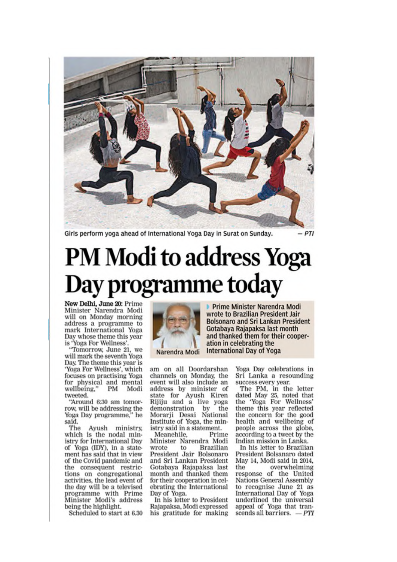

Girls perform yoga ahead of International Yoga Day in Surat on Sunday.

# **PM Modi to address Yoga** Day programme today

New Delhi, June 20: Prime Minister Narendra Modi will on Monday morning address a programme to mark International Yoga Day whose theme this year is 'Yoga For Wellness'.

"Tomorrow, June 21, we will mark the seventh Yoga Day. The theme this year is 'Yoga For Wellness', which focuses on practising Yoga for physical and mental<br>wellbeing," PM Modi tweeted.

"Around 6:30 am tomorrow, will be addressing the<br>Yoga Day programme," he said.

The Ayush ministry, which is the nodal ministry for International Day of Yoga (IDY), in a statement has said that in view of the Covid pandemic and the consequent restrictions on congregational activities, the lead event of the day will be a televised programme with Prime Minister Modi's address being the highlight.

Scheduled to start at 6.30



Narendra Modi

am on all Doordarshan channels on Monday, the event will also include an address by minister of state for Ayush Kiren<br>Rijiju and a live yoga demonstration by the Morarji Desai National Institute of Yoga, the ministry said in a statement.

Meanehile, Prime Minister Narendra Modi wrote to **Brazilian** President Jair Bolsonaro and Sri Lankan President Gotabaya Rajapaksa last month and thanked them for their cooperation in celebrating the International Day of Yoga.

In his letter to President Rajapaksa, Modi expressed his gratitude for making

Prime Minister Narendra Modi wrote to Brazilian President Jair **Bolsonaro and Sri Lankan President** Gotabaya Rajapaksa last month and thanked them for their cooperation in celebrating the **International Day of Yoga** 

> Yoga Day celebrations in Sri Lanka a resounding success every year.

The PM, in the letter<br>dated May 25, noted that the 'Yoga For Wellness' theme this year reflected<br>the concern for the good health and wellbeing of people across the globe, according to a tweet by the Indian mission in Lanka.

In his letter to Brazilian President Bolsanaro dated May 14, Modi said in 2014, the overwhelming response of the United **Nations General Assembly** to recognise June 21 as<br>International Day of Yoga underlined the universal appeal of Yoga that transcends all barriers.  $-PTI$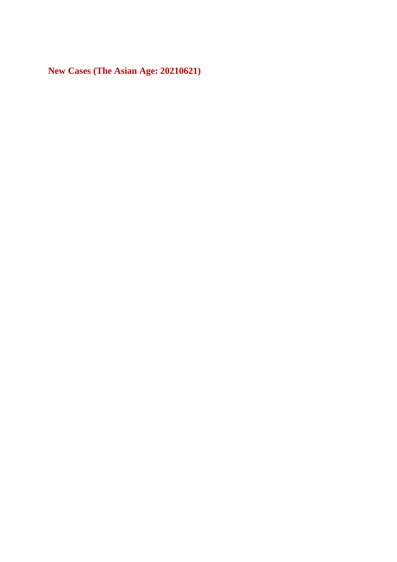**New Cases (The Asian Age: 20210621)**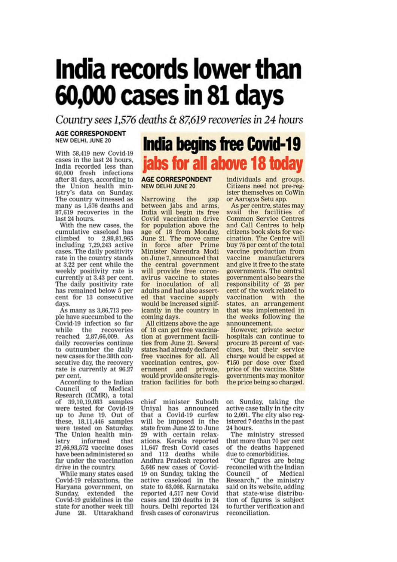# India records lower than 60,000 cases in 81 days

Country sees 1,576 deaths & 87,619 recoveries in 24 hours

#### **AGE CORRESPONDENT** NEW DELHI, JUNE 20

With 58,419 new Covid-19 cases in the last 24 hours. India recorded less than 60,000 fresh infections after 81 days, according to the Union health ministry's data on Sunday. The country witnessed as<br>many as 1,576 deaths and 87.619 recoveries in the last 24 hours.

With the new cases, the<br>cumulative caseload has climbed to 2,98,81,965 including 7,29,243 active cases. The daily positivity rate in the country stands at 3.22 per cent while the weekly positivity rate is<br>currently at 3.43 per cent. The daily positivity rate has remained below 5 per cent for 13 consecutive days.

As many as 3,86,713 people have succumbed to the Covid-19 infection so far while the recoveries reached 2,87,66,009. As daily recoveries continue to outnumber the daily new cases for the 38th consecutive day, the recovery rate is currently at 96.27 per cent.

According to the Indian<br>Council of Medical Research (ICMR), a total of 39,10,19,083 samples were tested for Covid-19 up to June 19. Out of these,  $18.11,446$  samples were tested on Saturday.<br>The Union health ministry informed that 27,66,93,572 vaccine doses have been administered so far under the vaccination drive in the country.

While many states eased Covid-19 relaxations, the Haryana government, on Sunday, extended the Covid-19 guidelines in the state for another week till June 28. Uttarakhand

## **India begins free Covid-19** jabs for all above 18 today

#### **AGE CORRESPONDENT NEW DELHI JUNE 20**

Narrowing Narrowing the gap<br>between jabs and arms, the India will begin its free Covid vaccination drive for population above the<br>age of 18 from Monday,<br>June 21. The move came in force after Prime Minister Narendra Modi on June 7, announced that the central government will provide free coronavirus vaccine to states for inoculation of all adults and had also asserted that vaccine supply would be increased significantly in the country in coming days.

All citizens above the age of 18 can get free vaccination at government facilities from June 21. Several states had already declared free vaccines for all. All vaccination centres, government and private, would provide onsite registration facilities for both

chief minister Subodh Uniyal has announced that a Covid-19 curfew will be imposed in the state from June 22 to June 29 with certain relaxations. Kerala reported 11,647 fresh Covid cases and 112 deaths while Andhra Pradesh reported 5,646 new cases of Covid-19 on Sunday, taking the active caseload in the state to 63,068. Karnataka reported 4,517 new Covid cases and 120 deaths in 24 hours. Delhi reported 124 fresh cases of coronavirus

individuals and groups. Citizens need not pre-register themselves on CoWin or Aarogya Setu app.

As per centre, states may avail the facilities of **Common Service Centres** and Call Centres to help citizens book slots for vaccination. The Centre will buy 75 per cent of the total vaccine production from vaccine manufacturers and give it free to the state governments. The central government also bears the responsibility of 25 per cent of the work related to vaccination with the states, an arrangement that was implemented in the weeks following the announcement.

However, private sector hospitals can continue to procure 25 percent of vaccines, but their service charge would be capped at ₹150 per dose over fixed price of the vaccine. State governments may monitor the price being so charged.

on Sunday, taking the active case tally in the city to 2,091. The city also registered 7 deaths in the past 24 hours.

The ministry stressed that more than 70 per cent of the deaths happened due to comorbidities.

"Our figures are being reconciled with the Indian Council of Medical<br>Research," the ministry said on its website, adding that state-wise distribution of figures is subject to further verification and reconciliation.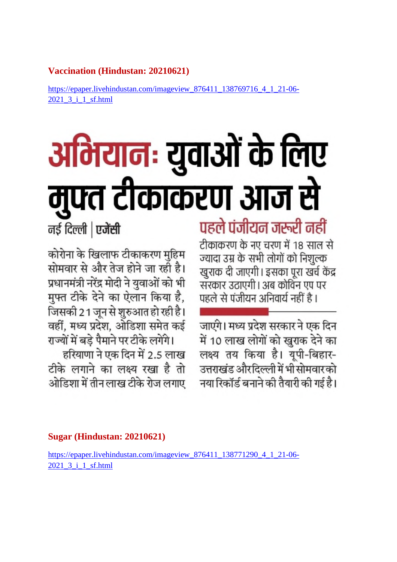#### **Vaccination (Hindustan: 20210621)**

https://epaper.livehindustan.com/imageview\_876411\_138769716\_4\_1\_21-06- 2021\_3\_i\_1\_sf.html

# अभियानः युवाओं के लिए मुफ्त टीकाकरण आज से

पहले पंजीयन जरूरी नहीं टीकाकरण के नए चरण में 18 साल से ज्यादा उम्र के सभी लोगों को निशुल्क खुराक दी जाएगी। इसका पूरा खर्च केंद्र सरकार उठाएगी। अब कोविन एप पर पहले से पंजीयन अनिवार्य नहीं है।

जाएंगे। मध्य प्रदेश सरकार ने एक दिन में 10 लाख लोगों को खुराक देने का लक्ष्य तय किया है। यूपी-बिहार-उत्तराखंड औरदिल्ली में भी सोमवार को नया रिकॉर्ड बनाने की तैयारी की गई है।

नई दिल्ली | एजेंसी

कोरोना के खिलाफ टीकाकरण मुहिम सोमवार से और तेज होने जा रही है। प्रधानमंत्री नरेंद्र मोदी ने युवाओं को भी मुफ्त टीके देने का ऐलान किया है, जिसकी 21 जून से शुरुआत हो रही है। वहीं, मध्य प्रदेश, ओडिशा समेत कई राज्यों में बड़े पैमाने पर टीके लगेंगे।

हरियाणा ने एक दिन में 2.5 लाख टीके लगाने का लक्ष्य रखा है तो ओडिशा में तीन लाख टीके रोज लगाए

**Sugar (Hindustan: 20210621)**

https://epaper.livehindustan.com/imageview\_876411\_138771290\_4\_1\_21-06- 2021\_3\_i\_1\_sf.html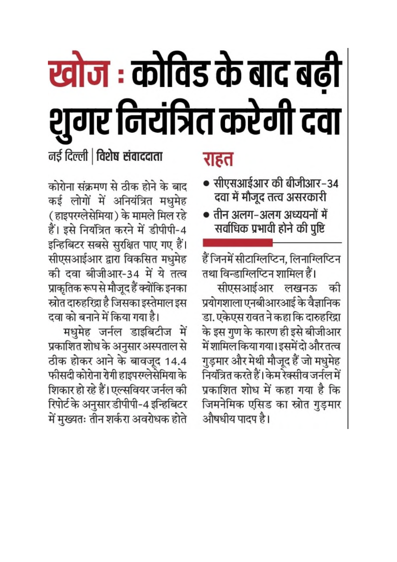# खोज : कोविड के बाद बढी शुगर नियंत्रित करेगी दवा

नई दिल्ली | विशेष संवाददाता

कोरोना संक्रमण से ठीक होने के बाद कई लोगों में अनियंत्रित मधुमेह ( हाइपरग्लेसेमिया ) के मामले मिल रहे हैं। इसे नियंत्रित करने में डीपीपी-4 इन्हिबिटर सबसे सुरक्षित पाए गए हैं। सीएसआईआर द्वारा विकसित मधुमेह की दवा बीजीआर-34 में ये तत्व प्राकृतिक रूप से मौजूद हैं क्योंकि इनका स्रोत दारुहरिद्रा है जिसका इस्तेमाल इस दवा को बनाने में किया गया है।

मधुमेह जर्नल डाइबिटीज में प्रकाशित शोध के अनुसार अस्पताल से ठीक होकर आने के बावजूद 14.4 फीसदी कोरोना रोगी हाइपरग्लेसेमिया के शिकार हो रहे हैं। एल्सवियर जर्नल की रिपोर्ट के अनुसार डीपीपी-4 इन्हिबिटर में मुख्यतः तीन शर्करा अवरोधक होते

## राहत

- सीएसआईआर की बीजीआर-34 दवा में मौजूद तत्व असरकारी
- तीन अलग-अलग अध्ययनों में सर्वाधिक प्रभावी होने की पुष्टि

हैं जिनमें सीटाग्लिप्टिन, लिनाग्लिप्टिन तथा विन्डाग्लिप्टिन शामिल हैं। सीएसआईआर लखनऊ की प्रयोगशाला एनबीआरआई के वैज्ञानिक डा. एकेएस रावत ने कहा कि दारुहरिद्रा के इस गुण के कारण ही इसे बीजीआर में शामिल किया गया। इसमें दो और तत्व गुड़मार और मेथी मौजूद हैं जो मधुमेह नियंत्रित करते हैं। केम रेक्सीव जर्नल में प्रकाशित शोध में कहा गया है कि जिमनेमिक एसिड का स्रोत गुड़मार औषधीय पादप है।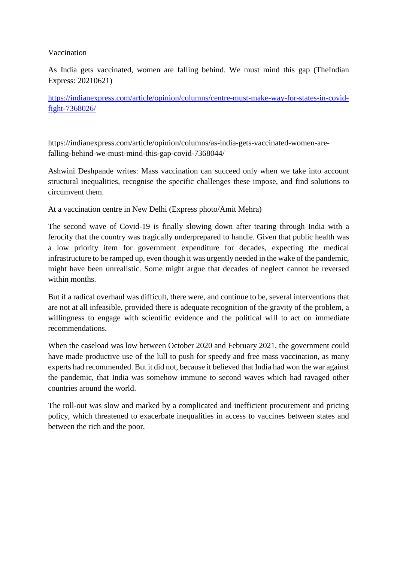#### Vaccination

As India gets vaccinated, women are falling behind. We must mind this gap (TheIndian Express: 20210621)

https://indianexpress.com/article/opinion/columns/centre-must-make-way-for-states-in-covidfight-7368026/

https://indianexpress.com/article/opinion/columns/as-india-gets-vaccinated-women-arefalling-behind-we-must-mind-this-gap-covid-7368044/

Ashwini Deshpande writes: Mass vaccination can succeed only when we take into account structural inequalities, recognise the specific challenges these impose, and find solutions to circumvent them.

At a vaccination centre in New Delhi (Express photo/Amit Mehra)

The second wave of Covid-19 is finally slowing down after tearing through India with a ferocity that the country was tragically underprepared to handle. Given that public health was a low priority item for government expenditure for decades, expecting the medical infrastructure to be ramped up, even though it was urgently needed in the wake of the pandemic, might have been unrealistic. Some might argue that decades of neglect cannot be reversed within months.

But if a radical overhaul was difficult, there were, and continue to be, several interventions that are not at all infeasible, provided there is adequate recognition of the gravity of the problem, a willingness to engage with scientific evidence and the political will to act on immediate recommendations.

When the caseload was low between October 2020 and February 2021, the government could have made productive use of the lull to push for speedy and free mass vaccination, as many experts had recommended. But it did not, because it believed that India had won the war against the pandemic, that India was somehow immune to second waves which had ravaged other countries around the world.

The roll-out was slow and marked by a complicated and inefficient procurement and pricing policy, which threatened to exacerbate inequalities in access to vaccines between states and between the rich and the poor.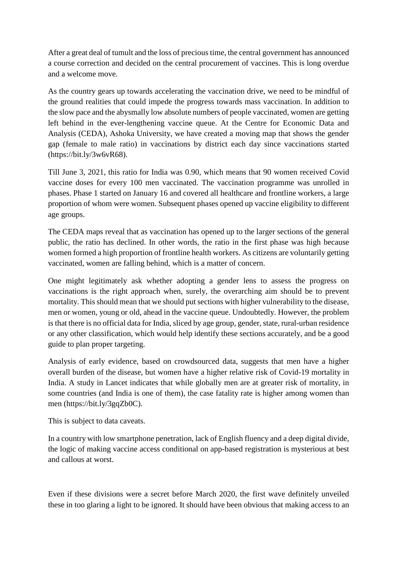After a great deal of tumult and the loss of precious time, the central government has announced a course correction and decided on the central procurement of vaccines. This is long overdue and a welcome move.

As the country gears up towards accelerating the vaccination drive, we need to be mindful of the ground realities that could impede the progress towards mass vaccination. In addition to the slow pace and the abysmally low absolute numbers of people vaccinated, women are getting left behind in the ever-lengthening vaccine queue. At the Centre for Economic Data and Analysis (CEDA), Ashoka University, we have created a moving map that shows the gender gap (female to male ratio) in vaccinations by district each day since vaccinations started (https://bit.ly/3w6vR68).

Till June 3, 2021, this ratio for India was 0.90, which means that 90 women received Covid vaccine doses for every 100 men vaccinated. The vaccination programme was unrolled in phases. Phase 1 started on January 16 and covered all healthcare and frontline workers, a large proportion of whom were women. Subsequent phases opened up vaccine eligibility to different age groups.

The CEDA maps reveal that as vaccination has opened up to the larger sections of the general public, the ratio has declined. In other words, the ratio in the first phase was high because women formed a high proportion of frontline health workers. As citizens are voluntarily getting vaccinated, women are falling behind, which is a matter of concern.

One might legitimately ask whether adopting a gender lens to assess the progress on vaccinations is the right approach when, surely, the overarching aim should be to prevent mortality. This should mean that we should put sections with higher vulnerability to the disease, men or women, young or old, ahead in the vaccine queue. Undoubtedly. However, the problem is that there is no official data for India, sliced by age group, gender, state, rural-urban residence or any other classification, which would help identify these sections accurately, and be a good guide to plan proper targeting.

Analysis of early evidence, based on crowdsourced data, suggests that men have a higher overall burden of the disease, but women have a higher relative risk of Covid-19 mortality in India. A study in Lancet indicates that while globally men are at greater risk of mortality, in some countries (and India is one of them), the case fatality rate is higher among women than men (https://bit.ly/3gqZb0C).

This is subject to data caveats.

In a country with low smartphone penetration, lack of English fluency and a deep digital divide, the logic of making vaccine access conditional on app-based registration is mysterious at best and callous at worst.

Even if these divisions were a secret before March 2020, the first wave definitely unveiled these in too glaring a light to be ignored. It should have been obvious that making access to an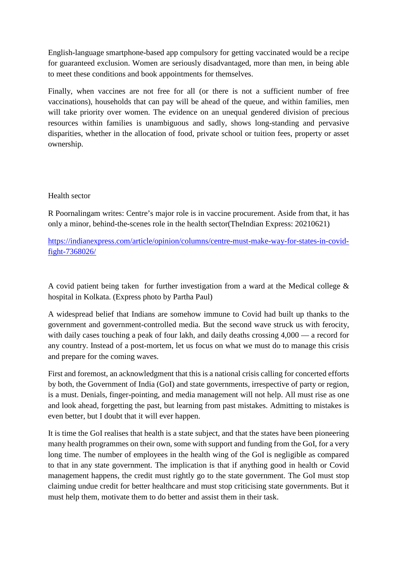English-language smartphone-based app compulsory for getting vaccinated would be a recipe for guaranteed exclusion. Women are seriously disadvantaged, more than men, in being able to meet these conditions and book appointments for themselves.

Finally, when vaccines are not free for all (or there is not a sufficient number of free vaccinations), households that can pay will be ahead of the queue, and within families, men will take priority over women. The evidence on an unequal gendered division of precious resources within families is unambiguous and sadly, shows long-standing and pervasive disparities, whether in the allocation of food, private school or tuition fees, property or asset ownership.

#### Health sector

R Poornalingam writes: Centre's major role is in vaccine procurement. Aside from that, it has only a minor, behind-the-scenes role in the health sector(TheIndian Express: 20210621)

https://indianexpress.com/article/opinion/columns/centre-must-make-way-for-states-in-covidfight-7368026/

A covid patient being taken for further investigation from a ward at the Medical college & hospital in Kolkata. (Express photo by Partha Paul)

A widespread belief that Indians are somehow immune to Covid had built up thanks to the government and government-controlled media. But the second wave struck us with ferocity, with daily cases touching a peak of four lakh, and daily deaths crossing 4,000 — a record for any country. Instead of a post-mortem, let us focus on what we must do to manage this crisis and prepare for the coming waves.

First and foremost, an acknowledgment that this is a national crisis calling for concerted efforts by both, the Government of India (GoI) and state governments, irrespective of party or region, is a must. Denials, finger-pointing, and media management will not help. All must rise as one and look ahead, forgetting the past, but learning from past mistakes. Admitting to mistakes is even better, but I doubt that it will ever happen.

It is time the GoI realises that health is a state subject, and that the states have been pioneering many health programmes on their own, some with support and funding from the GoI, for a very long time. The number of employees in the health wing of the GoI is negligible as compared to that in any state government. The implication is that if anything good in health or Covid management happens, the credit must rightly go to the state government. The GoI must stop claiming undue credit for better healthcare and must stop criticising state governments. But it must help them, motivate them to do better and assist them in their task.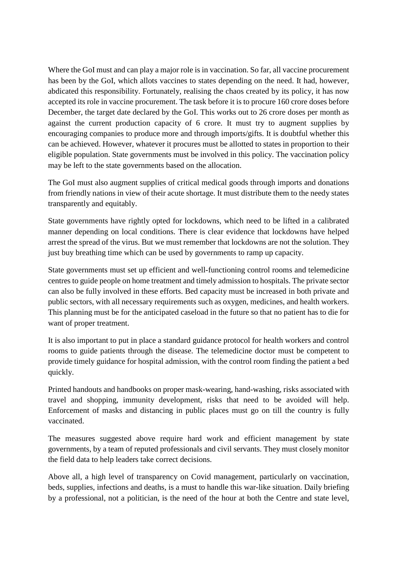Where the GoI must and can play a major role is in vaccination. So far, all vaccine procurement has been by the GoI, which allots vaccines to states depending on the need. It had, however, abdicated this responsibility. Fortunately, realising the chaos created by its policy, it has now accepted its role in vaccine procurement. The task before it is to procure 160 crore doses before December, the target date declared by the GoI. This works out to 26 crore doses per month as against the current production capacity of 6 crore. It must try to augment supplies by encouraging companies to produce more and through imports/gifts. It is doubtful whether this can be achieved. However, whatever it procures must be allotted to states in proportion to their eligible population. State governments must be involved in this policy. The vaccination policy may be left to the state governments based on the allocation.

The GoI must also augment supplies of critical medical goods through imports and donations from friendly nations in view of their acute shortage. It must distribute them to the needy states transparently and equitably.

State governments have rightly opted for lockdowns, which need to be lifted in a calibrated manner depending on local conditions. There is clear evidence that lockdowns have helped arrest the spread of the virus. But we must remember that lockdowns are not the solution. They just buy breathing time which can be used by governments to ramp up capacity.

State governments must set up efficient and well-functioning control rooms and telemedicine centres to guide people on home treatment and timely admission to hospitals. The private sector can also be fully involved in these efforts. Bed capacity must be increased in both private and public sectors, with all necessary requirements such as oxygen, medicines, and health workers. This planning must be for the anticipated caseload in the future so that no patient has to die for want of proper treatment.

It is also important to put in place a standard guidance protocol for health workers and control rooms to guide patients through the disease. The telemedicine doctor must be competent to provide timely guidance for hospital admission, with the control room finding the patient a bed quickly.

Printed handouts and handbooks on proper mask-wearing, hand-washing, risks associated with travel and shopping, immunity development, risks that need to be avoided will help. Enforcement of masks and distancing in public places must go on till the country is fully vaccinated.

The measures suggested above require hard work and efficient management by state governments, by a team of reputed professionals and civil servants. They must closely monitor the field data to help leaders take correct decisions.

Above all, a high level of transparency on Covid management, particularly on vaccination, beds, supplies, infections and deaths, is a must to handle this war-like situation. Daily briefing by a professional, not a politician, is the need of the hour at both the Centre and state level,